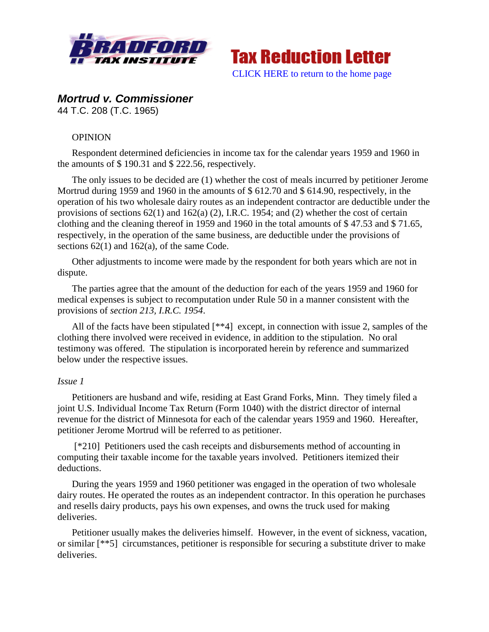



# *Mortrud v. Commissioner*

44 T.C. 208 (T.C. 1965)

## **OPINION**

Respondent determined deficiencies in income tax for the calendar years 1959 and 1960 in the amounts of \$ 190.31 and \$ 222.56, respectively.

The only issues to be decided are (1) whether the cost of meals incurred by petitioner Jerome Mortrud during 1959 and 1960 in the amounts of \$ 612.70 and \$ 614.90, respectively, in the operation of his two wholesale dairy routes as an independent contractor are deductible under the provisions of sections 62(1) and 162(a) (2), I.R.C. 1954; and (2) whether the cost of certain clothing and the cleaning thereof in 1959 and 1960 in the total amounts of \$ 47.53 and \$ 71.65, respectively, in the operation of the same business, are deductible under the provisions of sections  $62(1)$  and  $162(a)$ , of the same Code.

Other adjustments to income were made by the respondent for both years which are not in dispute.

The parties agree that the amount of the deduction for each of the years 1959 and 1960 for medical expenses is subject to recomputation under Rule 50 in a manner consistent with the provisions of *section 213, I.R.C. 1954*.

All of the facts have been stipulated [\*\*4] except, in connection with issue 2, samples of the clothing there involved were received in evidence, in addition to the stipulation. No oral testimony was offered. The stipulation is incorporated herein by reference and summarized below under the respective issues.

## *Issue 1*

Petitioners are husband and wife, residing at East Grand Forks, Minn. They timely filed a joint U.S. Individual Income Tax Return (Form 1040) with the district director of internal revenue for the district of Minnesota for each of the calendar years 1959 and 1960. Hereafter, petitioner Jerome Mortrud will be referred to as petitioner.

[\*210] Petitioners used the cash receipts and disbursements method of accounting in computing their taxable income for the taxable years involved. Petitioners itemized their deductions.

During the years 1959 and 1960 petitioner was engaged in the operation of two wholesale dairy routes. He operated the routes as an independent contractor. In this operation he purchases and resells dairy products, pays his own expenses, and owns the truck used for making deliveries.

Petitioner usually makes the deliveries himself. However, in the event of sickness, vacation, or similar [\*\*5] circumstances, petitioner is responsible for securing a substitute driver to make deliveries.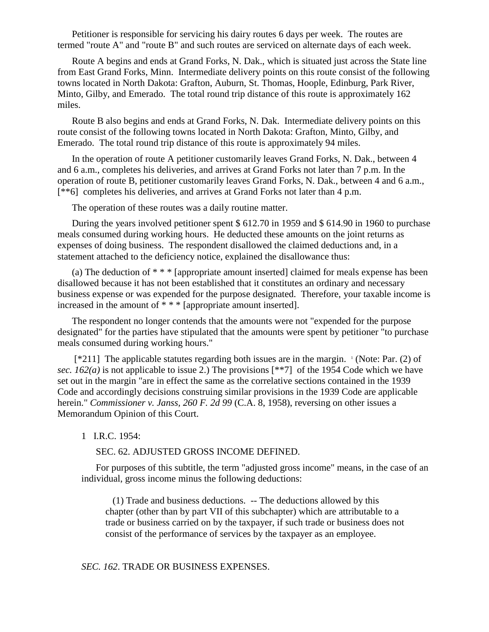Petitioner is responsible for servicing his dairy routes 6 days per week. The routes are termed "route A" and "route B" and such routes are serviced on alternate days of each week.

Route A begins and ends at Grand Forks, N. Dak., which is situated just across the State line from East Grand Forks, Minn. Intermediate delivery points on this route consist of the following towns located in North Dakota: Grafton, Auburn, St. Thomas, Hoople, Edinburg, Park River, Minto, Gilby, and Emerado. The total round trip distance of this route is approximately 162 miles.

Route B also begins and ends at Grand Forks, N. Dak. Intermediate delivery points on this route consist of the following towns located in North Dakota: Grafton, Minto, Gilby, and Emerado. The total round trip distance of this route is approximately 94 miles.

In the operation of route A petitioner customarily leaves Grand Forks, N. Dak., between 4 and 6 a.m., completes his deliveries, and arrives at Grand Forks not later than 7 p.m. In the operation of route B, petitioner customarily leaves Grand Forks, N. Dak., between 4 and 6 a.m., [\*\*6] completes his deliveries, and arrives at Grand Forks not later than 4 p.m.

The operation of these routes was a daily routine matter.

During the years involved petitioner spent \$ 612.70 in 1959 and \$ 614.90 in 1960 to purchase meals consumed during working hours. He deducted these amounts on the joint returns as expenses of doing business. The respondent disallowed the claimed deductions and, in a statement attached to the deficiency notice, explained the disallowance thus:

(a) The deduction of \* \* \* [appropriate amount inserted] claimed for meals expense has been disallowed because it has not been established that it constitutes an ordinary and necessary business expense or was expended for the purpose designated. Therefore, your taxable income is increased in the amount of \* \* \* [appropriate amount inserted].

The respondent no longer contends that the amounts were not "expended for the purpose designated" for the parties have stipulated that the amounts were spent by petitioner "to purchase meals consumed during working hours."

[\*211] The applicable statutes regarding both issues are in the margin. 1 (Note: Par. (2) of *sec. 162(a)* is not applicable to issue 2.) The provisions [\*\*7] of the 1954 Code which we have set out in the margin "are in effect the same as the correlative sections contained in the 1939 Code and accordingly decisions construing similar provisions in the 1939 Code are applicable herein." *Commissioner v. Janss, 260 F. 2d 99* (C.A. 8, 1958), reversing on other issues a Memorandum Opinion of this Court.

## 1 I.R.C. 1954:

SEC. 62. ADJUSTED GROSS INCOME DEFINED.

For purposes of this subtitle, the term "adjusted gross income" means, in the case of an individual, gross income minus the following deductions:

 (1) Trade and business deductions. -- The deductions allowed by this chapter (other than by part VII of this subchapter) which are attributable to a trade or business carried on by the taxpayer, if such trade or business does not consist of the performance of services by the taxpayer as an employee.

#### *SEC. 162*. TRADE OR BUSINESS EXPENSES.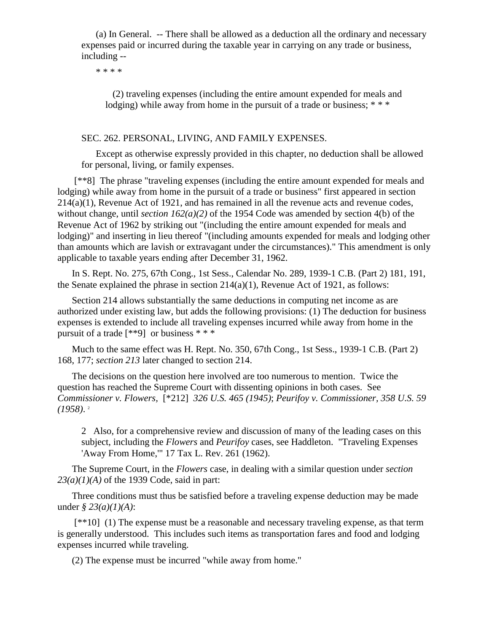(a) In General. -- There shall be allowed as a deduction all the ordinary and necessary expenses paid or incurred during the taxable year in carrying on any trade or business, including --

\* \* \* \*

 (2) traveling expenses (including the entire amount expended for meals and lodging) while away from home in the pursuit of a trade or business; \*\*\*

## SEC. 262. PERSONAL, LIVING, AND FAMILY EXPENSES.

Except as otherwise expressly provided in this chapter, no deduction shall be allowed for personal, living, or family expenses.

[\*\*8] The phrase "traveling expenses (including the entire amount expended for meals and lodging) while away from home in the pursuit of a trade or business" first appeared in section 214(a)(1), Revenue Act of 1921, and has remained in all the revenue acts and revenue codes, without change, until *section 162(a)(2)* of the 1954 Code was amended by section 4(b) of the Revenue Act of 1962 by striking out "(including the entire amount expended for meals and lodging)" and inserting in lieu thereof "(including amounts expended for meals and lodging other than amounts which are lavish or extravagant under the circumstances)." This amendment is only applicable to taxable years ending after December 31, 1962.

In S. Rept. No. 275, 67th Cong., 1st Sess., Calendar No. 289, 1939-1 C.B. (Part 2) 181, 191, the Senate explained the phrase in section  $214(a)(1)$ , Revenue Act of 1921, as follows:

Section 214 allows substantially the same deductions in computing net income as are authorized under existing law, but adds the following provisions: (1) The deduction for business expenses is extended to include all traveling expenses incurred while away from home in the pursuit of a trade  $[$ \*\*9] or business \* \* \*

Much to the same effect was H. Rept. No. 350, 67th Cong., 1st Sess., 1939-1 C.B. (Part 2) 168, 177; *section 213* later changed to section 214.

The decisions on the question here involved are too numerous to mention. Twice the question has reached the Supreme Court with dissenting opinions in both cases. See *Commissioner v. Flowers,* [\*212] *326 U.S. 465 (1945)*; *Peurifoy v. Commissioner, 358 U.S. 59 (1958)*. 2

2 Also, for a comprehensive review and discussion of many of the leading cases on this subject, including the *Flowers* and *Peurifoy* cases, see Haddleton. "Traveling Expenses 'Away From Home,'" 17 Tax L. Rev. 261 (1962).

The Supreme Court, in the *Flowers* case, in dealing with a similar question under *section 23(a)(1)(A)* of the 1939 Code, said in part:

Three conditions must thus be satisfied before a traveling expense deduction may be made under *§ 23(a)(1)(A)*:

[\*\*10] (1) The expense must be a reasonable and necessary traveling expense, as that term is generally understood. This includes such items as transportation fares and food and lodging expenses incurred while traveling.

(2) The expense must be incurred "while away from home."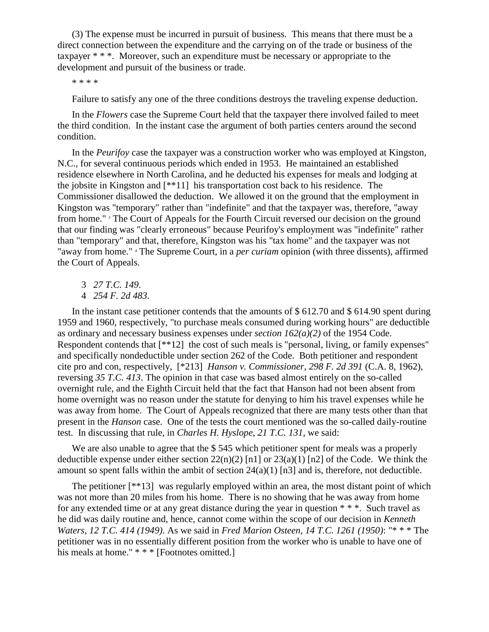(3) The expense must be incurred in pursuit of business. This means that there must be a direct connection between the expenditure and the carrying on of the trade or business of the taxpayer \* \* \*. Moreover, such an expenditure must be necessary or appropriate to the development and pursuit of the business or trade.

\* \* \* \*

Failure to satisfy any one of the three conditions destroys the traveling expense deduction.

In the *Flowers* case the Supreme Court held that the taxpayer there involved failed to meet the third condition. In the instant case the argument of both parties centers around the second condition.

In the *Peurifoy* case the taxpayer was a construction worker who was employed at Kingston, N.C., for several continuous periods which ended in 1953. He maintained an established residence elsewhere in North Carolina, and he deducted his expenses for meals and lodging at the jobsite in Kingston and [\*\*11] his transportation cost back to his residence. The Commissioner disallowed the deduction. We allowed it on the ground that the employment in Kingston was "temporary" rather than "indefinite" and that the taxpayer was, therefore, "away from home." <sup>3</sup> The Court of Appeals for the Fourth Circuit reversed our decision on the ground that our finding was "clearly erroneous" because Peurifoy's employment was "indefinite" rather than "temporary" and that, therefore, Kingston was his "tax home" and the taxpayer was not "away from home." <sup>4</sup> The Supreme Court, in a *per curiam* opinion (with three dissents), affirmed the Court of Appeals.

3 *27 T.C. 149*.

4 *254 F. 2d 483*.

In the instant case petitioner contends that the amounts of \$612.70 and \$614.90 spent during 1959 and 1960, respectively, "to purchase meals consumed during working hours" are deductible as ordinary and necessary business expenses under *section 162(a)(2)* of the 1954 Code. Respondent contends that [\*\*12] the cost of such meals is "personal, living, or family expenses" and specifically nondeductible under section 262 of the Code. Both petitioner and respondent cite pro and con, respectively, [\*213] *Hanson v. Commissioner, 298 F. 2d 391* (C.A. 8, 1962), reversing *35 T.C. 413*. The opinion in that case was based almost entirely on the so-called overnight rule, and the Eighth Circuit held that the fact that Hanson had not been absent from home overnight was no reason under the statute for denying to him his travel expenses while he was away from home. The Court of Appeals recognized that there are many tests other than that present in the *Hanson* case. One of the tests the court mentioned was the so-called daily-routine test. In discussing that rule, in *Charles H. Hyslope, 21 T.C. 131*, we said:

We are also unable to agree that the \$545 which petitioner spent for meals was a properly deductible expense under either section  $22(n)(2)$  [n1] or  $23(a)(1)$  [n2] of the Code. We think the amount so spent falls within the ambit of section  $24(a)(1)$  [n3] and is, therefore, not deductible.

The petitioner [\*\*13] was regularly employed within an area, the most distant point of which was not more than 20 miles from his home. There is no showing that he was away from home for any extended time or at any great distance during the year in question \* \* \*. Such travel as he did was daily routine and, hence, cannot come within the scope of our decision in *Kenneth Waters, 12 T.C. 414 (1949)*. As we said in *Fred Marion Osteen, 14 T.C. 1261 (1950)*: "\* \* \* The petitioner was in no essentially different position from the worker who is unable to have one of his meals at home." \* \* \* [Footnotes omitted.]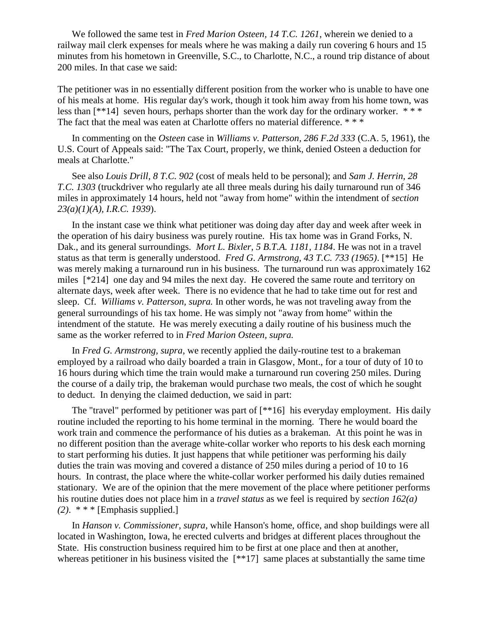We followed the same test in *Fred Marion Osteen, 14 T.C. 1261*, wherein we denied to a railway mail clerk expenses for meals where he was making a daily run covering 6 hours and 15 minutes from his hometown in Greenville, S.C., to Charlotte, N.C., a round trip distance of about 200 miles. In that case we said:

The petitioner was in no essentially different position from the worker who is unable to have one of his meals at home. His regular day's work, though it took him away from his home town, was less than  $[**14]$  seven hours, perhaps shorter than the work day for the ordinary worker. \*\*\* The fact that the meal was eaten at Charlotte offers no material difference. \* \* \*

In commenting on the *Osteen* case in *Williams v. Patterson, 286 F.2d 333* (C.A. 5, 1961), the U.S. Court of Appeals said: "The Tax Court, properly, we think, denied Osteen a deduction for meals at Charlotte."

See also *Louis Drill, 8 T.C. 902* (cost of meals held to be personal); and *Sam J. Herrin, 28 T.C. 1303* (truckdriver who regularly ate all three meals during his daily turnaround run of 346 miles in approximately 14 hours, held not "away from home" within the intendment of *section 23(a)(1)(A), I.R.C. 1939*).

In the instant case we think what petitioner was doing day after day and week after week in the operation of his dairy business was purely routine. His tax home was in Grand Forks, N. Dak., and its general surroundings. *Mort L. Bixler, 5 B.T.A. 1181, 1184*. He was not in a travel status as that term is generally understood. *Fred G. Armstrong, 43 T.C. 733 (1965)*. [\*\*15] He was merely making a turnaround run in his business. The turnaround run was approximately 162 miles [\*214] one day and 94 miles the next day. He covered the same route and territory on alternate days, week after week. There is no evidence that he had to take time out for rest and sleep. Cf. *Williams v. Patterson, supra.* In other words, he was not traveling away from the general surroundings of his tax home. He was simply not "away from home" within the intendment of the statute. He was merely executing a daily routine of his business much the same as the worker referred to in *Fred Marion Osteen, supra.*

In *Fred G. Armstrong, supra*, we recently applied the daily-routine test to a brakeman employed by a railroad who daily boarded a train in Glasgow, Mont., for a tour of duty of 10 to 16 hours during which time the train would make a turnaround run covering 250 miles. During the course of a daily trip, the brakeman would purchase two meals, the cost of which he sought to deduct. In denying the claimed deduction, we said in part:

The "travel" performed by petitioner was part of [\*\*16] his everyday employment. His daily routine included the reporting to his home terminal in the morning. There he would board the work train and commence the performance of his duties as a brakeman. At this point he was in no different position than the average white-collar worker who reports to his desk each morning to start performing his duties. It just happens that while petitioner was performing his daily duties the train was moving and covered a distance of 250 miles during a period of 10 to 16 hours. In contrast, the place where the white-collar worker performed his daily duties remained stationary. We are of the opinion that the mere movement of the place where petitioner performs his routine duties does not place him in a *travel status* as we feel is required by *section 162(a) (2)*. \* \* \* [Emphasis supplied.]

In *Hanson v. Commissioner, supra*, while Hanson's home, office, and shop buildings were all located in Washington, Iowa, he erected culverts and bridges at different places throughout the State. His construction business required him to be first at one place and then at another, whereas petitioner in his business visited the  $[**17]$  same places at substantially the same time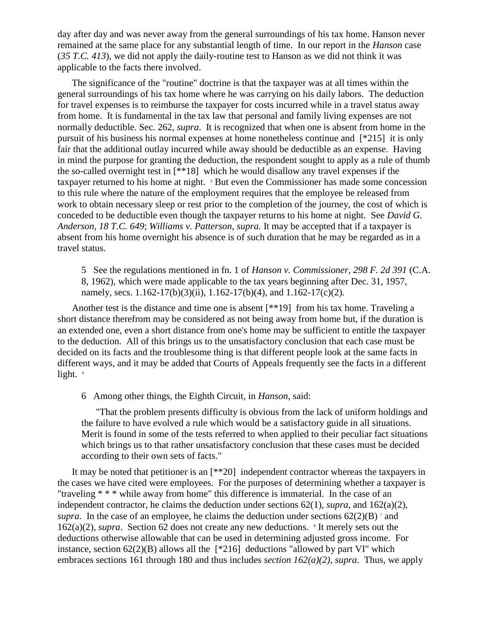day after day and was never away from the general surroundings of his tax home. Hanson never remained at the same place for any substantial length of time. In our report in the *Hanson* case (*35 T.C. 413*), we did not apply the daily-routine test to Hanson as we did not think it was applicable to the facts there involved.

The significance of the "routine" doctrine is that the taxpayer was at all times within the general surroundings of his tax home where he was carrying on his daily labors. The deduction for travel expenses is to reimburse the taxpayer for costs incurred while in a travel status away from home. It is fundamental in the tax law that personal and family living expenses are not normally deductible. Sec. 262, *supra*. It is recognized that when one is absent from home in the pursuit of his business his normal expenses at home nonetheless continue and [\*215] it is only fair that the additional outlay incurred while away should be deductible as an expense. Having in mind the purpose for granting the deduction, the respondent sought to apply as a rule of thumb the so-called overnight test in [\*\*18] which he would disallow any travel expenses if the taxpayer returned to his home at night. <sup>5</sup> But even the Commissioner has made some concession to this rule where the nature of the employment requires that the employee be released from work to obtain necessary sleep or rest prior to the completion of the journey, the cost of which is conceded to be deductible even though the taxpayer returns to his home at night. See *David G. Anderson, 18 T.C. 649*; *Williams v. Patterson, supra.* It may be accepted that if a taxpayer is absent from his home overnight his absence is of such duration that he may be regarded as in a travel status.

5 See the regulations mentioned in fn. 1 of *Hanson v. Commissioner, 298 F. 2d 391* (C.A. 8, 1962), which were made applicable to the tax years beginning after Dec. 31, 1957, namely, secs.  $1.162-17(b)(3)(ii)$ ,  $1.162-17(b)(4)$ , and  $1.162-17(c)(2)$ .

Another test is the distance and time one is absent [\*\*19] from his tax home. Traveling a short distance therefrom may be considered as not being away from home but, if the duration is an extended one, even a short distance from one's home may be sufficient to entitle the taxpayer to the deduction. All of this brings us to the unsatisfactory conclusion that each case must be decided on its facts and the troublesome thing is that different people look at the same facts in different ways, and it may be added that Courts of Appeals frequently see the facts in a different light. 6

6 Among other things, the Eighth Circuit, in *Hanson*, said:

"That the problem presents difficulty is obvious from the lack of uniform holdings and the failure to have evolved a rule which would be a satisfactory guide in all situations. Merit is found in some of the tests referred to when applied to their peculiar fact situations which brings us to that rather unsatisfactory conclusion that these cases must be decided according to their own sets of facts."

It may be noted that petitioner is an [\*\*20] independent contractor whereas the taxpayers in the cases we have cited were employees. For the purposes of determining whether a taxpayer is "traveling \* \* \* while away from home" this difference is immaterial. In the case of an independent contractor, he claims the deduction under sections 62(1), *supra*, and 162(a)(2), *supra*. In the case of an employee, he claims the deduction under sections  $62(2)(B)$ <sup>7</sup> and  $162(a)(2)$ , *supra*. Section 62 does not create any new deductions. <sup>8</sup> It merely sets out the deductions otherwise allowable that can be used in determining adjusted gross income. For instance, section  $62(2)(B)$  allows all the  $[*216]$  deductions "allowed by part VI" which embraces sections 161 through 180 and thus includes *section 162(a)(2)*, *supra*. Thus, we apply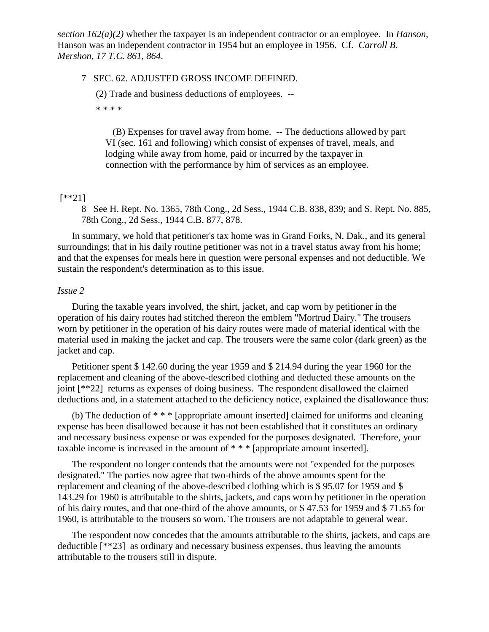*section 162(a)(2)* whether the taxpayer is an independent contractor or an employee. In *Hanson*, Hanson was an independent contractor in 1954 but an employee in 1956. Cf. *Carroll B. Mershon, 17 T.C. 861, 864*.

#### 7 SEC. 62. ADJUSTED GROSS INCOME DEFINED.

(2) Trade and business deductions of employees. --

\* \* \* \*

 (B) Expenses for travel away from home. -- The deductions allowed by part VI (sec. 161 and following) which consist of expenses of travel, meals, and lodging while away from home, paid or incurred by the taxpayer in connection with the performance by him of services as an employee.

## [\*\*21]

8 See H. Rept. No. 1365, 78th Cong., 2d Sess., 1944 C.B. 838, 839; and S. Rept. No. 885, 78th Cong., 2d Sess., 1944 C.B. 877, 878.

In summary, we hold that petitioner's tax home was in Grand Forks, N. Dak., and its general surroundings; that in his daily routine petitioner was not in a travel status away from his home; and that the expenses for meals here in question were personal expenses and not deductible. We sustain the respondent's determination as to this issue.

#### *Issue 2*

During the taxable years involved, the shirt, jacket, and cap worn by petitioner in the operation of his dairy routes had stitched thereon the emblem "Mortrud Dairy." The trousers worn by petitioner in the operation of his dairy routes were made of material identical with the material used in making the jacket and cap. The trousers were the same color (dark green) as the jacket and cap.

Petitioner spent \$ 142.60 during the year 1959 and \$ 214.94 during the year 1960 for the replacement and cleaning of the above-described clothing and deducted these amounts on the joint [\*\*22] returns as expenses of doing business. The respondent disallowed the claimed deductions and, in a statement attached to the deficiency notice, explained the disallowance thus:

(b) The deduction of \* \* \* [appropriate amount inserted] claimed for uniforms and cleaning expense has been disallowed because it has not been established that it constitutes an ordinary and necessary business expense or was expended for the purposes designated. Therefore, your taxable income is increased in the amount of \* \* \* [appropriate amount inserted].

The respondent no longer contends that the amounts were not "expended for the purposes designated." The parties now agree that two-thirds of the above amounts spent for the replacement and cleaning of the above-described clothing which is \$ 95.07 for 1959 and \$ 143.29 for 1960 is attributable to the shirts, jackets, and caps worn by petitioner in the operation of his dairy routes, and that one-third of the above amounts, or \$ 47.53 for 1959 and \$ 71.65 for 1960, is attributable to the trousers so worn. The trousers are not adaptable to general wear.

The respondent now concedes that the amounts attributable to the shirts, jackets, and caps are deductible [\*\*23] as ordinary and necessary business expenses, thus leaving the amounts attributable to the trousers still in dispute.